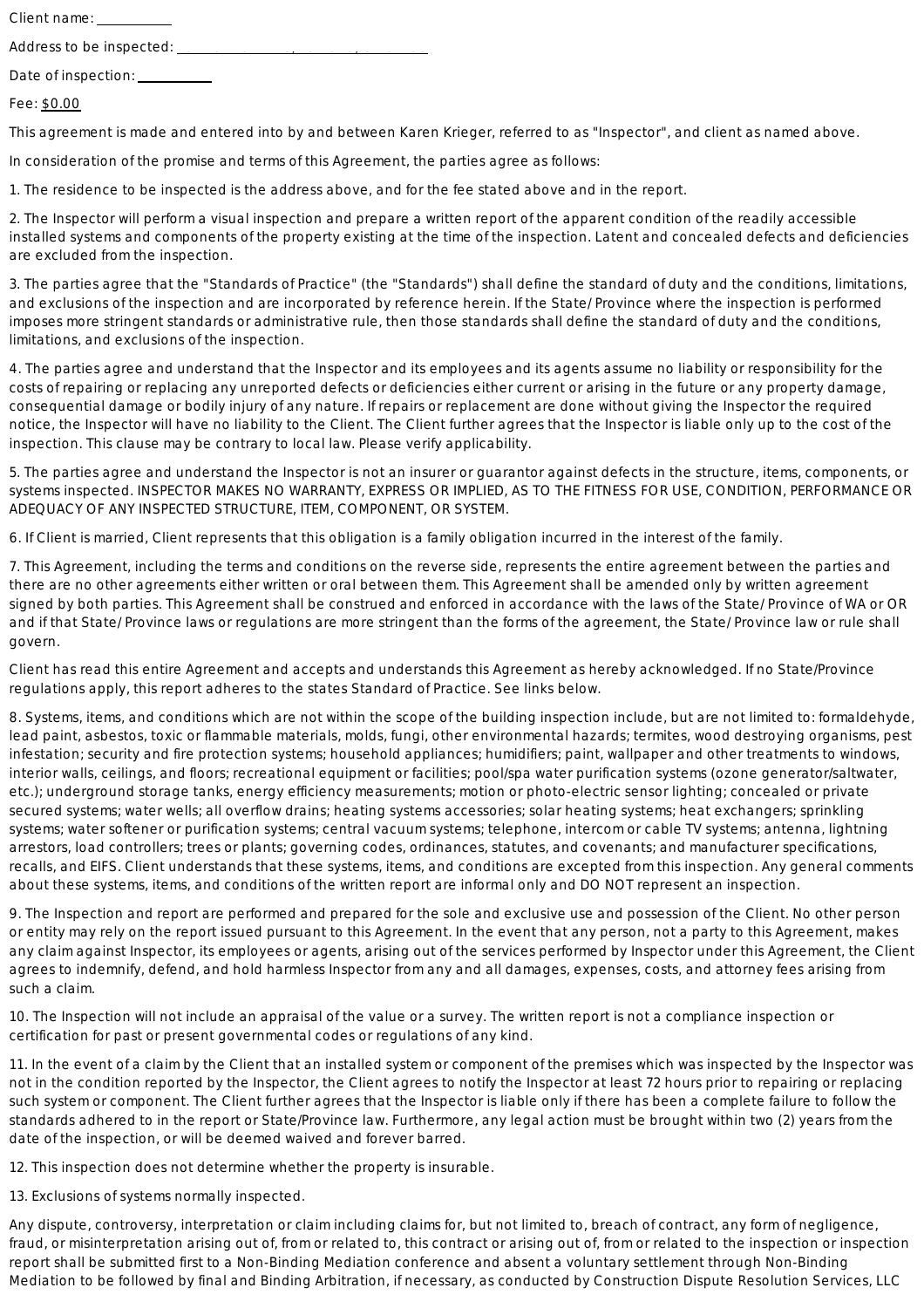Client name: \_\_\_\_\_\_\_\_\_\_

Address to be inspected:

Fee: \$0.00

This agreement is made and entered into by and between Karen Krieger, referred to as "Inspector", and client as named above.

In consideration of the promise and terms of this Agreement, the parties agree as follows:

1. The residence to be inspected is the address above, and for the fee stated above and in the report.

2. The Inspector will perform a visual inspection and prepare a written report of the apparent condition of the readily accessible installed systems and components of the property existing at the time of the inspection. Latent and concealed defects and deficiencies are excluded from the inspection.

3. The parties agree that the "Standards of Practice" (the "Standards") shall define the standard of duty and the conditions. limitations. and exclusions of the inspection and are incorporated by reference herein. If the State/Province where the inspection is performed imposes more stringent standards or administrative rule, then those standards shall define the standard of duty and the conditions. limitations, and exclusions of the inspection.

4. The parties agree and understand that the Inspector and its employees and its agents assume no liability or responsibility for the costs of repairing or replacing any unreported defects or deficiencies either current or arising in the future or any property damage, consequential damage or bodily injury of any nature. If repairs or replacement are done without giving the Inspector the required notice, the Inspector will have no liability to the Client. The Client further agrees that the Inspector is liable only up to the cost of the inspection. This clause may be contrary to local law. Please verify applicability.

5. The parties agree and understand the Inspector is not an insurer or guarantor against defects in the structure, items, components, or systems inspected. INSPECTOR MAKES NO WARRANTY, EXPRESS OR IMPLIED, AS TO THE FITNESS FOR USE, CONDITION, PERFORMANCE OR ADEQUACY OF ANY INSPECTED STRUCTURE, ITEM, COMPONENT, OR SYSTEM.

6. If Client is married, Client represents that this obligation is a family obligation incurred in the interest of the family.

7. This Agreement, including the terms and conditions on the reverse side, represents the entire agreement between the parties and there are no other agreements either written or oral between them. This Agreement shall be amended only by written agreement signed by both parties. This Agreement shall be construed and enforced in accordance with the laws of the State/Province of WA or OR and if that State/Province laws or regulations are more stringent than the forms of the agreement, the State/Province law or rule shall govern.

Client has read this entire Agreement and accepts and understands this Agreement as hereby acknowledged. If no State/Province regulations apply, this report adheres to the states Standard of Practice. See links below.

8. Systems, items, and conditions which are not within the scope of the building inspection include, but are not limited to: formaldehyde, lead paint, asbestos, toxic or flammable materials, molds, fungi, other environmental hazards; termites, wood destroying organisms, pest infestation; security and fire protection systems; household appliances; humidifiers; paint, wallpaper and other treatments to windows, interior walls, ceilings, and floors; recreational equipment or facilities; pool/spa water purification systems (ozone generator/saltwater, etc.); underground storage tanks, energy efficiency measurements; motion or photo-electric sensor lighting; concealed or private secured systems; water wells; all overflow drains; heating systems accessories; solar heating systems; heat exchangers; sprinkling systems; water softener or purification systems; central vacuum systems; telephone, intercom or cable TV systems; antenna, lightning arrestors, load controllers; trees or plants; governing codes, ordinances, statutes, and covenants; and manufacturer specifications, recalls, and EIFS. Client understands that these systems, items, and conditions are excepted from this inspection. Any general comments about these systems, items, and conditions of the written report are informal only and DO NOT represent an inspection.

9. The Inspection and report are performed and prepared for the sole and exclusive use and possession of the Client. No other person or entity may rely on the report issued pursuant to this Agreement. In the event that any person, not a party to this Agreement, makes any claim against Inspector, its employees or agents, arising out of the services performed by Inspector under this Agreement, the Client agrees to indemnify, defend, and hold harmless Inspector from any and all damages, expenses, costs, and attorney fees arising from such a claim.

10. The Inspection will not include an appraisal of the value or a survey. The written report is not a compliance inspection or certification for past or present governmental codes or regulations of any kind.

11. In the event of a claim by the Client that an installed system or component of the premises which was inspected by the Inspector was not in the condition reported by the Inspector, the Client agrees to notify the Inspector at least 72 hours prior to repairing or replacing such system or component. The Client further agrees that the Inspector is liable only if there has been a complete failure to follow the standards adhered to in the report or State/Province law. Furthermore, any legal action must be brought within two (2) years from the date of the inspection, or will be deemed waived and forever barred.

12. This inspection does not determine whether the property is insurable.

13. Exclusions of systems normally inspected.

Any dispute, controversy, interpretation or claim including claims for, but not limited to, breach of contract, any form of negligence, fraud, or misinterpretation arising out of, from or related to, this contract or arising out of, from or related to the inspection or inspection report shall be submitted first to a Non-Binding Mediation conference and absent a voluntary settlement through Non-Binding Mediation to be followed by final and Binding Arbitration, if necessary, as conducted by Construction Dispute Resolution Services, LLC